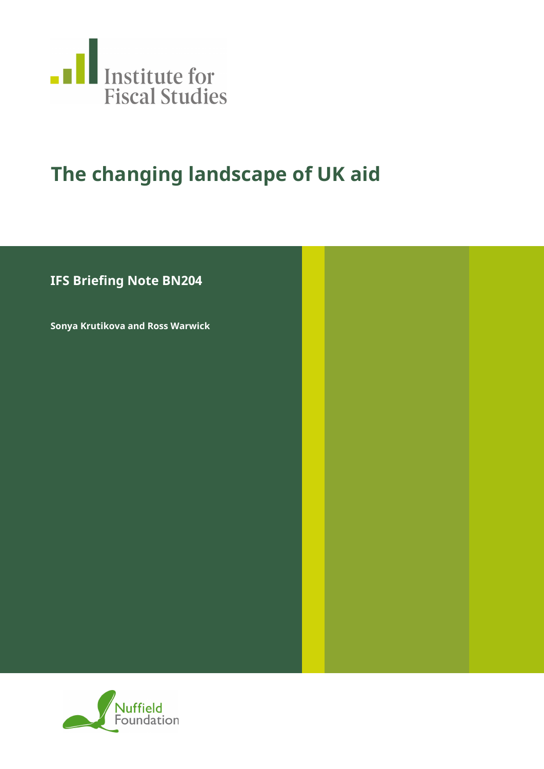

# **The changing landscape of UK aid**

## **IFS Briefing Note BN204**

**Sonya Krutikova and Ross Warwick**

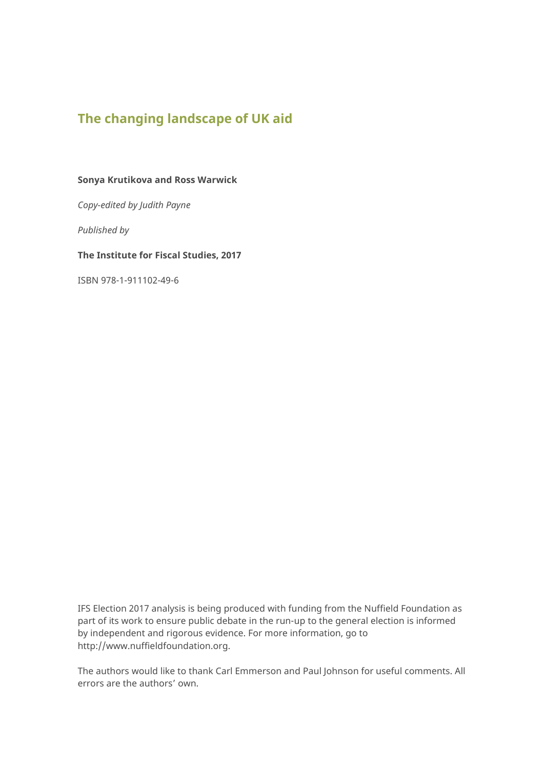## **The changing landscape of UK aid**

#### **Sonya Krutikova and Ross Warwick**

*Copy-edited by Judith Payne*

*Published by*

**The Institute for Fiscal Studies, 2017**

ISBN 978-1-911102-49-6

IFS Election 2017 analysis is being produced with funding from the Nuffield Foundation as part of its work to ensure public debate in the run-up to the general election is informed by independent and rigorous evidence. For more information, go to [http://www.nuffieldfoundation.org.](http://www.nuffieldfoundation.org/)

The authors would like to thank Carl Emmerson and Paul Johnson for useful comments. All errors are the authors' own.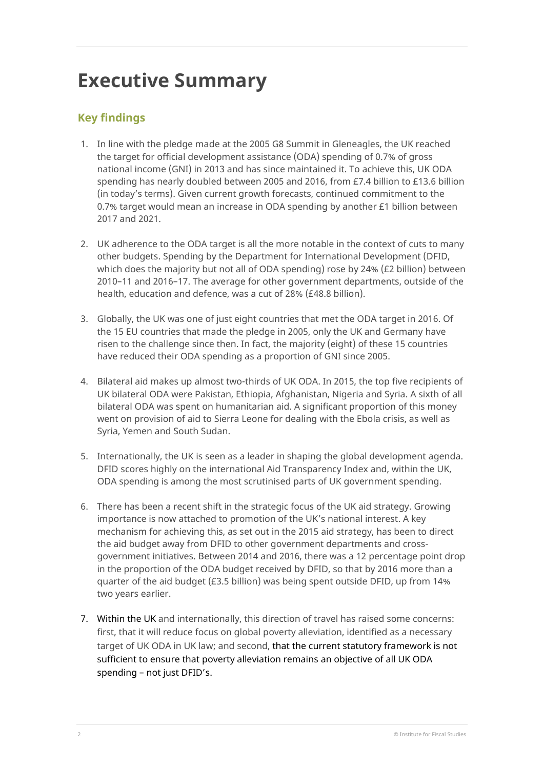# **Executive Summary**

## **Key findings**

- 1. In line with the pledge made at the 2005 G8 Summit in Gleneagles, the UK reached the target for official development assistance (ODA) spending of 0.7% of gross national income (GNI) in 2013 and has since maintained it. To achieve this, UK ODA spending has nearly doubled between 2005 and 2016, from £7.4 billion to £13.6 billion (in today's terms). Given current growth forecasts, continued commitment to the 0.7% target would mean an increase in ODA spending by another £1 billion between 2017 and 2021.
- 2. UK adherence to the ODA target is all the more notable in the context of cuts to many other budgets. Spending by the Department for International Development (DFID, which does the majority but not all of ODA spending) rose by 24% (£2 billion) between 2010–11 and 2016–17. The average for other government departments, outside of the health, education and defence, was a cut of 28% (£48.8 billion).
- 3. Globally, the UK was one of just eight countries that met the ODA target in 2016. Of the 15 EU countries that made the pledge in 2005, only the UK and Germany have risen to the challenge since then. In fact, the majority (eight) of these 15 countries have reduced their ODA spending as a proportion of GNI since 2005.
- 4. Bilateral aid makes up almost two-thirds of UK ODA. In 2015, the top five recipients of UK bilateral ODA were Pakistan, Ethiopia, Afghanistan, Nigeria and Syria. A sixth of all bilateral ODA was spent on humanitarian aid. A significant proportion of this money went on provision of aid to Sierra Leone for dealing with the Ebola crisis, as well as Syria, Yemen and South Sudan.
- 5. Internationally, the UK is seen as a leader in shaping the global development agenda. DFID scores highly on the international Aid Transparency Index and, within the UK, ODA spending is among the most scrutinised parts of UK government spending.
- 6. There has been a recent shift in the strategic focus of the UK aid strategy. Growing importance is now attached to promotion of the UK's national interest. A key mechanism for achieving this, as set out in the 2015 aid strategy, has been to direct the aid budget away from DFID to other government departments and crossgovernment initiatives. Between 2014 and 2016, there was a 12 percentage point drop in the proportion of the ODA budget received by DFID, so that by 2016 more than a quarter of the aid budget (£3.5 billion) was being spent outside DFID, up from 14% two years earlier.
- 7. Within the UK and internationally, this direction of travel has raised some concerns: first, that it will reduce focus on global poverty alleviation, identified as a necessary target of UK ODA in UK law; and second, that the current statutory framework is not sufficient to ensure that poverty alleviation remains an objective of all UK ODA spending – not just DFID's.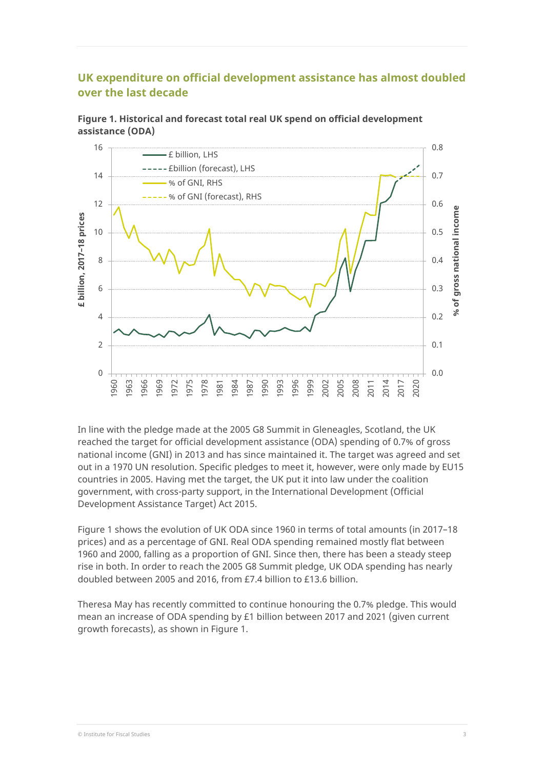## **UK expenditure on official development assistance has almost doubled over the last decade**



**Figure 1. Historical and forecast total real UK spend on official development assistance (ODA)**

In line with the pledge made at the 2005 G8 Summit in Gleneagles, Scotland, the UK reached the target for official development assistance (ODA) spending of 0.7% of gross national income (GNI) in 2013 and has since maintained it. The target was agreed and set out in a 1970 UN resolution. Specific pledges to meet it, however, were only made by EU15 countries in 2005. Having met the target, the UK put it into law under the coalition government, with cross-party support, in the International Development (Official Development Assistance Target) Act 2015.

Figure 1 shows the evolution of UK ODA since 1960 in terms of total amounts (in 2017–18 prices) and as a percentage of GNI. Real ODA spending remained mostly flat between 1960 and 2000, falling as a proportion of GNI. Since then, there has been a steady steep rise in both. In order to reach the 2005 G8 Summit pledge, UK ODA spending has nearly doubled between 2005 and 2016, from £7.4 billion to £13.6 billion.

Theresa May has recently committed to continue honouring the 0.7% pledge. This would mean an increase of ODA spending by £1 billion between 2017 and 2021 (given current growth forecasts), as shown in Figure 1.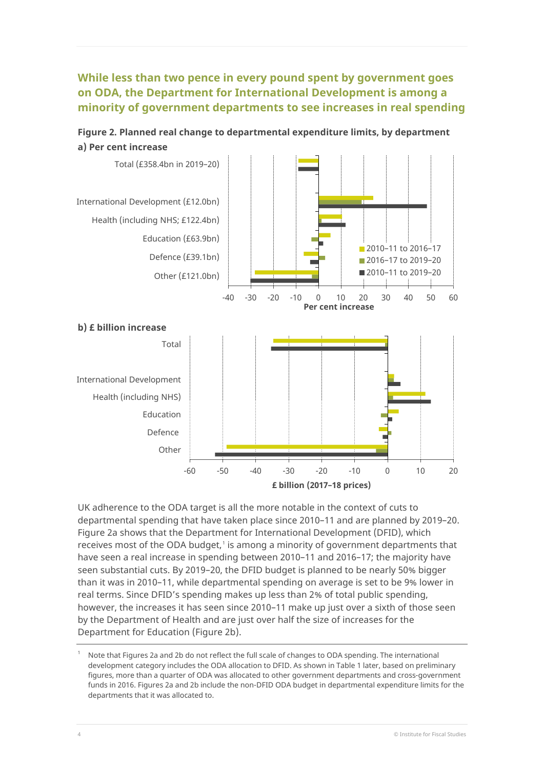## **While less than two pence in every pound spent by government goes on ODA, the Department for International Development is among a minority of government departments to see increases in real spending**



**Figure 2. Planned real change to departmental expenditure limits, by department a) Per cent increase**

UK adherence to the ODA target is all the more notable in the context of cuts to departmental spending that have taken place since 2010–11 and are planned by 2019–20. Figure 2a shows that the Department for International Development (DFID), which receives most of the ODA budget, [1](#page-4-0) is among a minority of government departments that have seen a real increase in spending between 2010–11 and 2016–17; the majority have seen substantial cuts. By 2019–20, the DFID budget is planned to be nearly 50% bigger than it was in 2010–11, while departmental spending on average is set to be 9% lower in real terms. Since DFID's spending makes up less than 2% of total public spending, however, the increases it has seen since 2010–11 make up just over a sixth of those seen by the Department of Health and are just over half the size of increases for the Department for Education (Figure 2b).

<span id="page-4-0"></span>Note that Figures 2a and 2b do not reflect the full scale of changes to ODA spending. The international development category includes the ODA allocation to DFID. As shown in Table 1 later, based on preliminary figures, more than a quarter of ODA was allocated to other government departments and cross-government funds in 2016. Figures 2a and 2b include the non-DFID ODA budget in departmental expenditure limits for the departments that it was allocated to.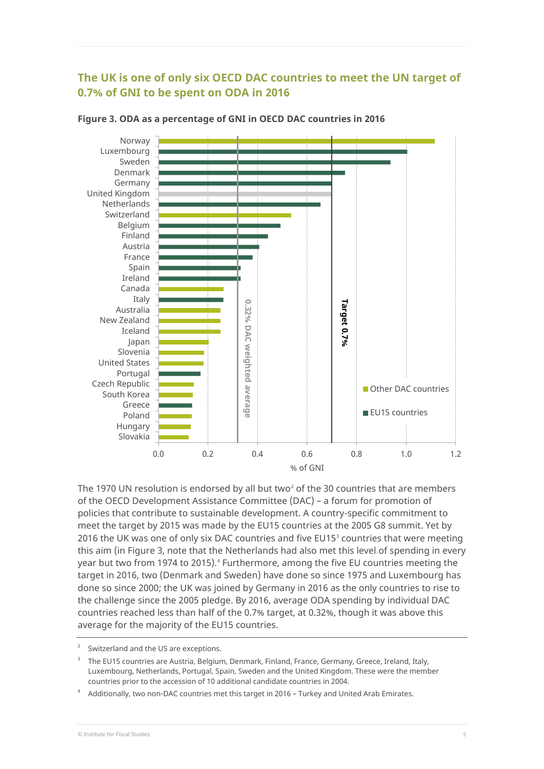## **The UK is one of only six OECD DAC countries to meet the UN target of 0.7% of GNI to be spent on ODA in 2016**



**Figure 3. ODA as a percentage of GNI in OECD DAC countries in 2016**

The 1970 UN resolution is endorsed by all but two<sup>[2](#page-5-0)</sup> of the 30 countries that are members of the OECD Development Assistance Committee (DAC) – a forum for promotion of policies that contribute to sustainable development. A country-specific commitment to meet the target by 2015 was made by the EU15 countries at the 2005 G8 summit. Yet by 2016 the UK was one of only six DAC countries and five EU15 $3$  countries that were meeting this aim (in Figure 3, note that the Netherlands had also met this level of spending in every year but two from 197[4](#page-5-2) to 2015).<sup>4</sup> Furthermore, among the five EU countries meeting the target in 2016, two (Denmark and Sweden) have done so since 1975 and Luxembourg has done so since 2000; the UK was joined by Germany in 2016 as the only countries to rise to the challenge since the 2005 pledge. By 2016, average ODA spending by individual DAC countries reached less than half of the 0.7% target, at 0.32%, though it was above this average for the majority of the EU15 countries.

<span id="page-5-2"></span><sup>4</sup> Additionally, two non-DAC countries met this target in 2016 – Turkey and United Arab Emirates.

<span id="page-5-0"></span>Switzerland and the US are exceptions.

<span id="page-5-1"></span><sup>3</sup> The EU15 countries are Austria, Belgium, Denmark, Finland, France, Germany, Greece, Ireland, Italy, Luxembourg, Netherlands, Portugal, Spain, Sweden and the United Kingdom. These were the member countries prior to the accession of 10 additional candidate countries in 2004.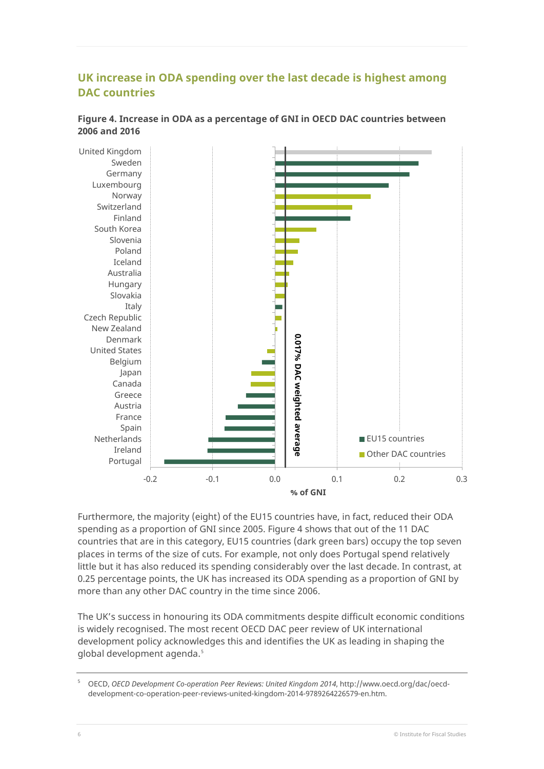## **UK increase in ODA spending over the last decade is highest among DAC countries**



**Figure 4. Increase in ODA as a percentage of GNI in OECD DAC countries between 2006 and 2016**

Furthermore, the majority (eight) of the EU15 countries have, in fact, reduced their ODA spending as a proportion of GNI since 2005. Figure 4 shows that out of the 11 DAC countries that are in this category, EU15 countries (dark green bars) occupy the top seven places in terms of the size of cuts. For example, not only does Portugal spend relatively little but it has also reduced its spending considerably over the last decade. In contrast, at 0.25 percentage points, the UK has increased its ODA spending as a proportion of GNI by more than any other DAC country in the time since 2006.

The UK's success in honouring its ODA commitments despite difficult economic conditions is widely recognised. The most recent OECD DAC peer review of UK international development policy acknowledges this and identifies the UK as leading in shaping the global development agenda.<sup>[5](#page-6-0)</sup>

<span id="page-6-0"></span><sup>5</sup> OECD, *OECD Development Co-operation Peer Reviews: United Kingdom 2014*[, http://www.oecd.org/dac/oecd](http://www.oecd.org/dac/oecd-development-co-operation-peer-reviews-united-kingdom-2014-9789264226579-en.htm)[development-co-operation-peer-reviews-united-kingdom-2014-9789264226579-en.htm.](http://www.oecd.org/dac/oecd-development-co-operation-peer-reviews-united-kingdom-2014-9789264226579-en.htm)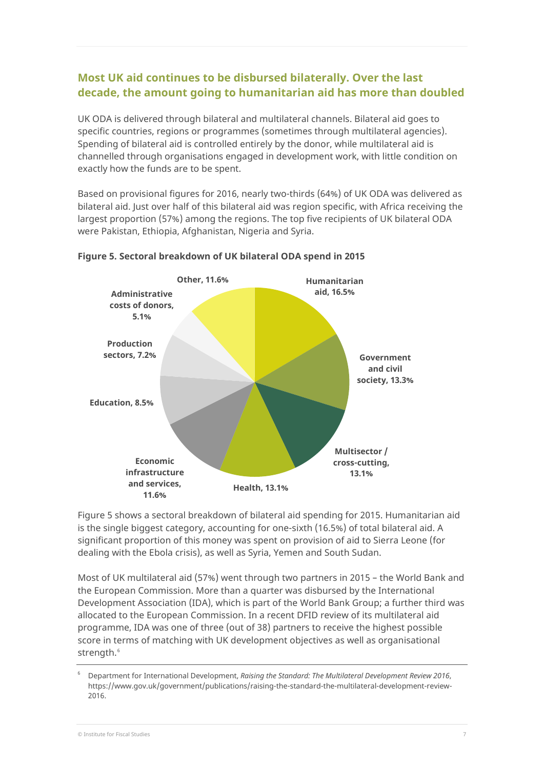## **Most UK aid continues to be disbursed bilaterally. Over the last decade, the amount going to humanitarian aid has more than doubled**

UK ODA is delivered through bilateral and multilateral channels. Bilateral aid goes to specific countries, regions or programmes (sometimes through multilateral agencies). Spending of bilateral aid is controlled entirely by the donor, while multilateral aid is channelled through organisations engaged in development work, with little condition on exactly how the funds are to be spent.

Based on provisional figures for 2016, nearly two-thirds (64%) of UK ODA was delivered as bilateral aid. Just over half of this bilateral aid was region specific, with Africa receiving the largest proportion (57%) among the regions. The top five recipients of UK bilateral ODA were Pakistan, Ethiopia, Afghanistan, Nigeria and Syria.



#### **Figure 5. Sectoral breakdown of UK bilateral ODA spend in 2015**

Figure 5 shows a sectoral breakdown of bilateral aid spending for 2015. Humanitarian aid is the single biggest category, accounting for one-sixth (16.5%) of total bilateral aid. A significant proportion of this money was spent on provision of aid to Sierra Leone (for dealing with the Ebola crisis), as well as Syria, Yemen and South Sudan.

Most of UK multilateral aid (57%) went through two partners in 2015 – the World Bank and the European Commission. More than a quarter was disbursed by the International Development Association (IDA), which is part of the World Bank Group; a further third was allocated to the European Commission. In a recent DFID review of its multilateral aid programme, IDA was one of three (out of 38) partners to receive the highest possible score in terms of matching with UK development objectives as well as organisational strength. [6](#page-7-0)

<span id="page-7-0"></span><sup>6</sup> Department for International Development, *Raising the Standard: The Multilateral Development Review 2016*, [https://www.gov.uk/government/publications/raising-the-standard-the-multilateral-development-review-](https://www.gov.uk/government/publications/raising-the-standard-the-multilateral-development-review-2016)[2016.](https://www.gov.uk/government/publications/raising-the-standard-the-multilateral-development-review-2016)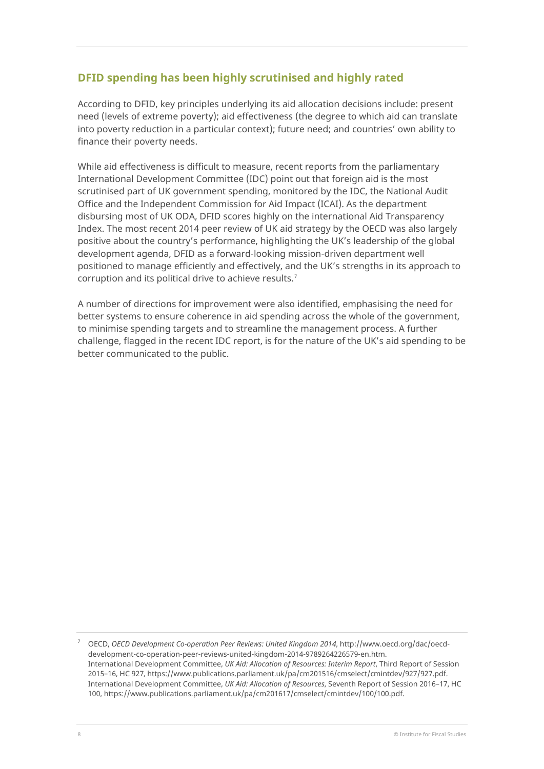### **DFID spending has been highly scrutinised and highly rated**

According to DFID, key principles underlying its aid allocation decisions include: present need (levels of extreme poverty); aid effectiveness (the degree to which aid can translate into poverty reduction in a particular context); future need; and countries' own ability to finance their poverty needs.

While aid effectiveness is difficult to measure, recent reports from the parliamentary International Development Committee (IDC) point out that foreign aid is the most scrutinised part of UK government spending, monitored by the IDC, the National Audit Office and the Independent Commission for Aid Impact (ICAI). As the department disbursing most of UK ODA, DFID scores highly on the international Aid Transparency Index. The most recent 2014 peer review of UK aid strategy by the OECD was also largely positive about the country's performance, highlighting the UK's leadership of the global development agenda, DFID as a forward-looking mission-driven department well positioned to manage efficiently and effectively, and the UK's strengths in its approach to corruption and its political drive to achieve results.<sup>[7](#page-8-0)</sup>

A number of directions for improvement were also identified, emphasising the need for better systems to ensure coherence in aid spending across the whole of the government, to minimise spending targets and to streamline the management process. A further challenge, flagged in the recent IDC report, is for the nature of the UK's aid spending to be better communicated to the public.

<span id="page-8-0"></span><sup>7</sup> OECD, *OECD Development Co-operation Peer Reviews: United Kingdom 2014*[, http://www.oecd.org/dac/oecd](http://www.oecd.org/dac/oecd-development-co-operation-peer-reviews-united-kingdom-2014-9789264226579-en.htm)[development-co-operation-peer-reviews-united-kingdom-2014-9789264226579-en.htm.](http://www.oecd.org/dac/oecd-development-co-operation-peer-reviews-united-kingdom-2014-9789264226579-en.htm) International Development Committee, *UK Aid: Allocation of Resources: Interim Report*, Third Report of Session 2015–16, HC 927[, https://www.publications.parliament.uk/pa/cm201516/cmselect/cmintdev/927/927.pdf.](https://www.publications.parliament.uk/pa/cm201516/cmselect/cmintdev/927/927.pdf) International Development Committee, *UK Aid: Allocation of Resources*, Seventh Report of Session 2016–17, HC 100[, https://www.publications.parliament.uk/pa/cm201617/cmselect/cmintdev/100/100.pdf.](https://www.publications.parliament.uk/pa/cm201617/cmselect/cmintdev/100/100.pdf)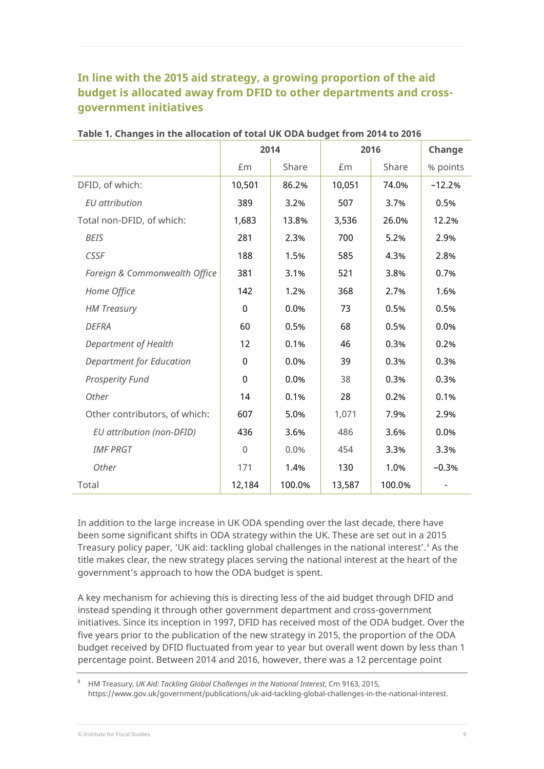## **In line with the 2015 aid strategy, a growing proportion of the aid budget is allocated away from DFID to other departments and crossgovernment initiatives**

|                                 | 2014        |        | 2016   |        | Change   |
|---------------------------------|-------------|--------|--------|--------|----------|
|                                 | £m          | Share  | £m     | Share  | % points |
| DFID, of which:                 | 10,501      | 86.2%  | 10,051 | 74.0%  | $-12.2%$ |
| <b>EU</b> attribution           | 389         | 3.2%   | 507    | 3.7%   | 0.5%     |
| Total non-DFID, of which:       | 1,683       | 13.8%  | 3,536  | 26.0%  | 12.2%    |
| <b>BEIS</b>                     | 281         | 2.3%   | 700    | 5.2%   | 2.9%     |
| <b>CSSF</b>                     | 188         | 1.5%   | 585    | 4.3%   | 2.8%     |
| Foreign & Commonwealth Office   | 381         | 3.1%   | 521    | 3.8%   | 0.7%     |
| Home Office                     | 142         | 1.2%   | 368    | 2.7%   | 1.6%     |
| <b>HM Treasury</b>              | 0           | 0.0%   | 73     | 0.5%   | 0.5%     |
| <b>DEFRA</b>                    | 60          | 0.5%   | 68     | 0.5%   | 0.0%     |
| Department of Health            | 12          | 0.1%   | 46     | 0.3%   | 0.2%     |
| <b>Department for Education</b> | 0           | 0.0%   | 39     | 0.3%   | 0.3%     |
| <b>Prosperity Fund</b>          | $\mathbf 0$ | 0.0%   | 38     | 0.3%   | 0.3%     |
| Other                           | 14          | 0.1%   | 28     | 0.2%   | 0.1%     |
| Other contributors, of which:   | 607         | 5.0%   | 1,071  | 7.9%   | 2.9%     |
| EU attribution (non-DFID)       | 436         | 3.6%   | 486    | 3.6%   | 0.0%     |
| <b>IMF PRGT</b>                 | 0           | 0.0%   | 454    | 3.3%   | 3.3%     |
| Other                           | 171         | 1.4%   | 130    | 1.0%   | $-0.3%$  |
| Total                           | 12,184      | 100.0% | 13,587 | 100.0% |          |

#### **Table 1. Changes in the allocation of total UK ODA budget from 2014 to 2016**

In addition to the large increase in UK ODA spending over the last decade, there have been some significant shifts in ODA strategy within the UK. These are set out in a 2015 Treasury policy paper, 'UK aid: tackling global challenges in the national interest'.<sup>[8](#page-9-0)</sup> As the title makes clear, the new strategy places serving the national interest at the heart of the government's approach to how the ODA budget is spent.

A key mechanism for achieving this is directing less of the aid budget through DFID and instead spending it through other government department and cross-government initiatives. Since its inception in 1997, DFID has received most of the ODA budget. Over the five years prior to the publication of the new strategy in 2015, the proportion of the ODA budget received by DFID fluctuated from year to year but overall went down by less than 1 percentage point. Between 2014 and 2016, however, there was a 12 percentage point

<span id="page-9-0"></span><sup>8</sup> HM Treasury, *UK Aid: Tackling Global Challenges in the National Interest*, Cm 9163, 2015, [https://www.gov.uk/government/publications/uk-aid-tackling-global-challenges-in-the-national-interest.](https://www.gov.uk/government/publications/uk-aid-tackling-global-challenges-in-the-national-interest)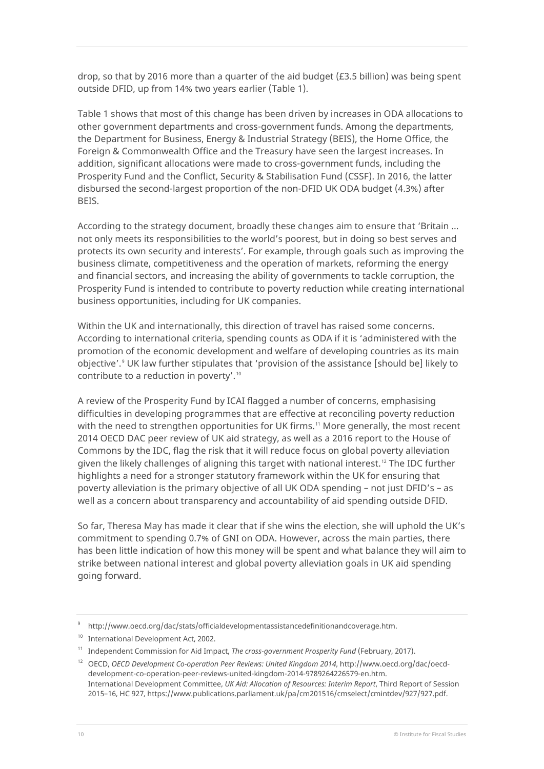drop, so that by 2016 more than a quarter of the aid budget (£3.5 billion) was being spent outside DFID, up from 14% two years earlier (Table 1).

Table 1 shows that most of this change has been driven by increases in ODA allocations to other government departments and cross-government funds. Among the departments, the Department for Business, Energy & Industrial Strategy (BEIS), the Home Office, the Foreign & Commonwealth Office and the Treasury have seen the largest increases. In addition, significant allocations were made to cross-government funds, including the Prosperity Fund and the Conflict, Security & Stabilisation Fund (CSSF). In 2016, the latter disbursed the second-largest proportion of the non-DFID UK ODA budget (4.3%) after **BEIS** 

According to the strategy document, broadly these changes aim to ensure that 'Britain ... not only meets its responsibilities to the world's poorest, but in doing so best serves and protects its own security and interests'. For example, through goals such as improving the business climate, competitiveness and the operation of markets, reforming the energy and financial sectors, and increasing the ability of governments to tackle corruption, the Prosperity Fund is intended to contribute to poverty reduction while creating international business opportunities, including for UK companies.

Within the UK and internationally, this direction of travel has raised some concerns. According to international criteria, spending counts as ODA if it is 'administered with the promotion of the economic development and welfare of developing countries as its main objective'. [9](#page-10-0) UK law further stipulates that 'provision of the assistance [should be] likely to contribute to a reduction in poverty'.  $10$ 

A review of the Prosperity Fund by ICAI flagged a number of concerns, emphasising difficulties in developing programmes that are effective at reconciling poverty reduction with the need to strengthen opportunities for UK firms. [11](#page-10-2) More generally, the most recent 2014 OECD DAC peer review of UK aid strategy, as well as a 2016 report to the House of Commons by the IDC, flag the risk that it will reduce focus on global poverty alleviation given the likely challenges of aligning this target with national interest. [12](#page-10-3) The IDC further highlights a need for a stronger statutory framework within the UK for ensuring that poverty alleviation is the primary objective of all UK ODA spending – not just DFID's – as well as a concern about transparency and accountability of aid spending outside DFID.

So far, Theresa May has made it clear that if she wins the election, she will uphold the UK's commitment to spending 0.7% of GNI on ODA. However, across the main parties, there has been little indication of how this money will be spent and what balance they will aim to strike between national interest and global poverty alleviation goals in UK aid spending going forward.

<sup>9</sup> [http://www.oecd.org/dac/stats/officialdevelopmentassistancedefinitionandcoverage.htm.](http://www.oecd.org/dac/stats/officialdevelopmentassistancedefinitionandcoverage.htm)

<span id="page-10-1"></span><span id="page-10-0"></span><sup>&</sup>lt;sup>10</sup> International Development Act, 2002.

<span id="page-10-2"></span><sup>11</sup> Independent Commission for Aid Impact, *The cross-government Prosperity Fund* (February, 2017).

<span id="page-10-3"></span><sup>12</sup> OECD, *OECD Development Co-operation Peer Reviews: United Kingdom 2014*[, http://www.oecd.org/dac/oecd](http://www.oecd.org/dac/oecd-development-co-operation-peer-reviews-united-kingdom-2014-9789264226579-en.htm)[development-co-operation-peer-reviews-united-kingdom-2014-9789264226579-en.htm.](http://www.oecd.org/dac/oecd-development-co-operation-peer-reviews-united-kingdom-2014-9789264226579-en.htm) International Development Committee, *UK Aid: Allocation of Resources: Interim Report*, Third Report of Session 2015–16, HC 927[, https://www.publications.parliament.uk/pa/cm201516/cmselect/cmintdev/927/927.pdf.](https://www.publications.parliament.uk/pa/cm201516/cmselect/cmintdev/927/927.pdf)